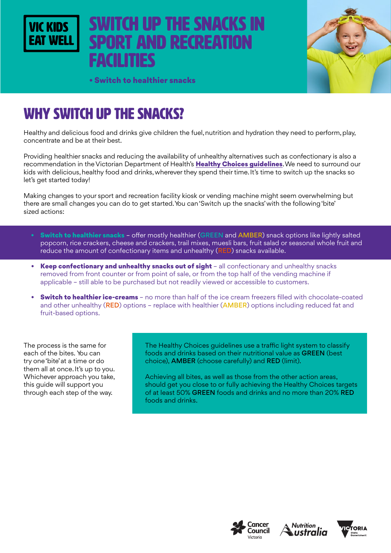# WITCH UP THE SNACKS IN **PORT AND RECREATION** facilities



• Switch to healthier snacks

# WHY SWITCH UP THE SNACKS?

Healthy and delicious food and drinks give children the fuel, nutrition and hydration they need to perform, play, concentrate and be at their best.

Providing healthier snacks and reducing the availability of unhealthy alternatives such as confectionary is also a recommendation in the Victorian Department of Health's Healthy Choices quidelines. We need to surround our kids with delicious, healthy food and drinks, wherever they spend their time. It's time to switch up the snacks so let's get started today!

Making changes to your sport and recreation facility kiosk or vending machine might seem overwhelming but there are small changes you can do to get started. You can 'Switch up the snacks' with the following 'bite' sized actions:

- Switch to healthier snacks offer mostly healthier (GREEN and AMBER) snack options like lightly salted popcorn, rice crackers, cheese and crackers, trail mixes, muesli bars, fruit salad or seasonal whole fruit and reduce the amount of confectionary items and unhealthy (RED) snacks available.
- Keep confectionary and unhealthy snacks out of sight all confectionary and unhealthy snacks removed from front counter or from point of sale, or from the top half of the vending machine if applicable – still able to be purchased but not readily viewed or accessible to customers.
- **Switch to healthier ice-creams** no more than half of the ice cream freezers filled with chocolate-coated and other unhealthy (RED) options - replace with healthier (AMBER) options including reduced fat and fruit-based options.

The process is the same for each of the bites. You can try one 'bite' at a time or do them all at once. It's up to you. Whichever approach you take, this guide will support you through each step of the way.

The Healthy Choices guidelines use a traffic light system to classify foods and drinks based on their nutritional value as GREEN (best choice), AMBER (choose carefully) and RED (limit).

Achieving all bites, as well as those from the other action areas, should get you close to or fully achieving the Healthy Choices targets of at least 50% GREEN foods and drinks and no more than 20% RED foods and drinks.





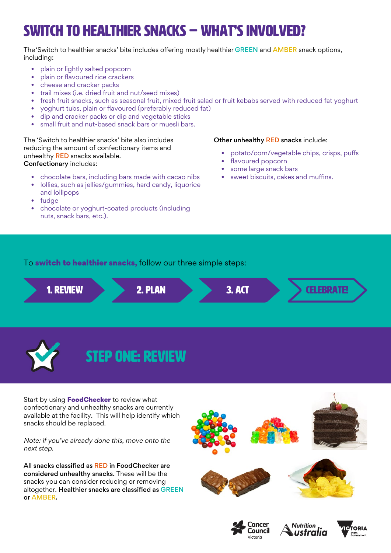# switch to healthier snacks – WHAT'S INVOLVED?

The 'Switch to healthier snacks' bite includes offering mostly healthier GREEN and AMBER snack options, including:

- plain or lightly salted popcorn
- plain or flavoured rice crackers
- cheese and cracker packs
- trail mixes (i.e. dried fruit and nut/seed mixes)
- fresh fruit snacks, such as seasonal fruit, mixed fruit salad or fruit kebabs served with reduced fat yoghurt
- yoghurt tubs, plain or flavoured (preferably reduced fat)
- dip and cracker packs or dip and vegetable sticks
- small fruit and nut-based snack bars or muesli bars.

The 'Switch to healthier snacks' bite also includes reducing the amount of confectionary items and unhealthy **RED** snacks available. Confectionary includes:

- chocolate bars, including bars made with cacao nibs
- lollies, such as jellies/gummies, hard candy, liquorice and lollipops
- fudge
- chocolate or yoghurt-coated products (including nuts, snack bars, etc.).

#### Other unhealthy RED snacks include:

- potato/corn/vegetable chips, crisps, puffs
- flavoured popcorn
- some large snack bars
- sweet biscuits, cakes and muffins.

To **switch to healthier snacks**, follow our three simple steps:



Start by using **[FoodChecker](https://foodchecker.heas.health.vic.gov.au/)** to review what confectionary and unhealthy snacks are currently available at the facility. This will help identify which snacks should be replaced.

Note: if you've already done this, move onto the next step.

All snacks classified as RED in FoodChecker are considered unhealthy snacks. These will be the snacks you can consider reducing or removing altogether. Healthier snacks are classified as GREEN or AMBER.







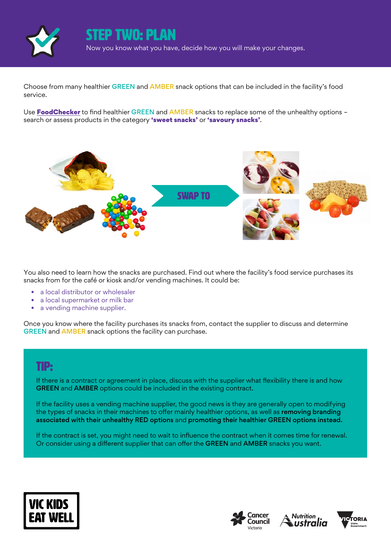

### STEP two: plan

Now you know what you have, decide how you will make your changes.

Choose from many healthier GREEN and AMBER snack options that can be included in the facility's food service.

Use **[FoodChecker](https://foodchecker.heas.health.vic.gov.au/)** to find healthier GREEN and AMBER snacks to replace some of the unhealthy options search or assess products in the category 'sweet snacks' or 'savoury snacks'.



You also need to learn how the snacks are purchased. Find out where the facility's food service purchases its snacks from for the café or kiosk and/or vending machines. It could be:

- a local distributor or wholesaler
- a local supermarket or milk bar
- a vending machine supplier.

Once you know where the facility purchases its snacks from, contact the supplier to discuss and determine GREEN and AMBER snack options the facility can purchase.

### TIP:

If there is a contract or agreement in place, discuss with the supplier what flexibility there is and how GREEN and AMBER options could be included in the existing contract.

If the facility uses a vending machine supplier, the good news is they are generally open to modifying the types of snacks in their machines to offer mainly healthier options, as well as removing branding associated with their unhealthy RED options and promoting their healthier GREEN options instead.

If the contract is set, you might need to wait to influence the contract when it comes time for renewal. Or consider using a different supplier that can offer the GREEN and AMBER snacks you want.







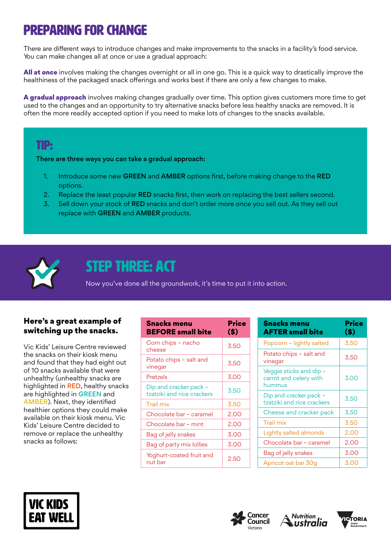# Preparing for change

There are different ways to introduce changes and make improvements to the snacks in a facility's food service. You can make changes all at once or use a gradual approach:

All at once involves making the changes overnight or all in one go. This is a quick way to drastically improve the healthiness of the packaged snack offerings and works best if there are only a few changes to make.

A gradual approach involves making changes gradually over time. This option gives customers more time to get used to the changes and an opportunity to try alternative snacks before less healthy snacks are removed. It is often the more readily accepted option if you need to make lots of changes to the snacks available.

### TIP:

There are three ways you can take a gradual approach:

- 1. Introduce some new GREEN and AMBER options first, before making change to the RED options.
- 2. Replace the least popular RED snacks first, then work on replacing the best sellers second.
- 3. Sell down your stock of RED snacks and don't order more once you sell out. As they sell out replace with GREEN and AMBER products.



## STEP THREE: ACT

Now you've done all the groundwork, it's time to put it into action.

### Here's a great example of switching up the snacks.

Vic Kids' Leisure Centre reviewed the snacks on their kiosk menu and found that they had eight out of 10 snacks available that were unhealthy (unhealthy snacks are highlighted in RED, healthy snacks are highlighted in GREEN and AMBER). Next, they identified healthier options they could make available on their kiosk menu. Vic Kids' Leisure Centre decided to remove or replace the unhealthy snacks as follows:

| <b>Snacks menu</b><br><b>BEFORE</b> small bite       | Price<br>\$) |
|------------------------------------------------------|--------------|
| Corn chips - nacho<br>cheese                         | 3.50         |
| Potato chips - salt and<br>vinegar                   | 3.50         |
| Pretzels                                             | 3.00         |
| Dip and cracker pack -<br>tzatziki and rice crackers | 3.50         |
| <b>Trail</b> mix                                     | 3.50         |
| Chocolate bar - caramel                              | 2.00         |
| Chocolate bar - mint                                 | 2.00         |
| Bag of jelly snakes                                  | 3.00         |
| Bag of party mix lollies                             | 3.00         |
| Yoghurt-coated fruit and<br>nut bar                  | 2.50         |

| <b>Snacks menu</b><br><b>AFTER small bite</b>               | Price<br>$($)$ |
|-------------------------------------------------------------|----------------|
| Popcorn - lightly salted                                    | 3.50           |
| Potato chips - salt and<br>vinegar                          | 3.50           |
| Veggie sticks and dip -<br>carrot and celery with<br>hummus | 3.00           |
| Dip and cracker pack -<br>tzatziki and rice crackers        | 3.50           |
| Cheese and cracker pack                                     | 3.50           |
| Trail mix                                                   | 3.50           |
| Lightly salted almonds                                      | 2.00           |
| Chocolate bar - caramel                                     | 2.00           |
| Bag of jelly snakes                                         | 3.00           |
| Apricot oat bar 30g                                         | 3.00           |







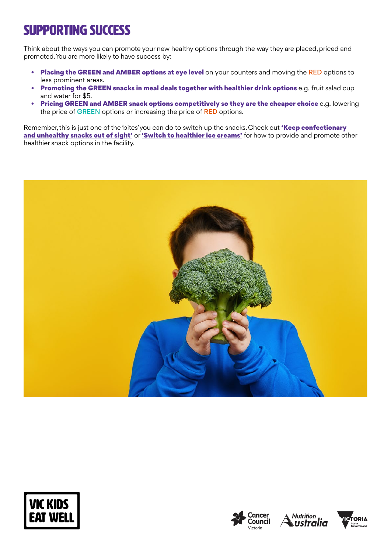# SUPPORTING SUCCESS

Think about the ways you can promote your new healthy options through the way they are placed, priced and promoted. You are more likely to have success by:

- Placing the GREEN and AMBER options at eye level on your counters and moving the RED options to less prominent areas.
- Promoting the GREEN snacks in meal deals together with healthier drink options e.g. fruit salad cup and water for \$5.
- Pricing GREEN and AMBER snack options competitively so they are the cheaper choice e.g. lowering the price of GREEN options or increasing the price of RED options.

Remember, this is just one of the 'bites' you can do to switch up the snacks. Check out 'Keep confectionary [and unhealthy snacks out of sight'](https://www.vickidseatwell.health.vic.gov.au/resources) or ['Switch to healthier ice creams'](https://www.vickidseatwell.health.vic.gov.au/resources) for how to provide and promote other healthier snack options in the facility.